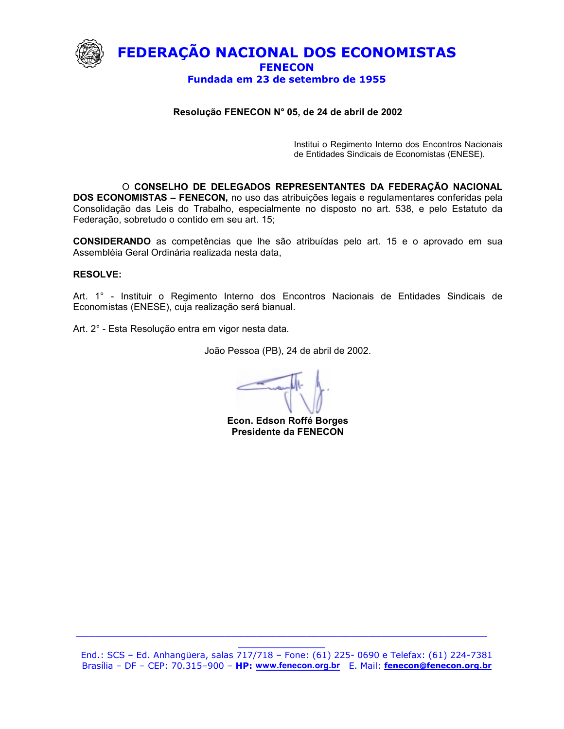

## Resolução FENECON Nº 05, de 24 de abril de 2002

Institui o Regimento Interno dos Encontros Nacionais de Entidades Sindicais de Economistas (ENESE).

O CONSELHO DE DELEGADOS REPRESENTANTES DA FEDERAÇÃO NACIONAL DOS ECONOMISTAS - FENECON, no uso das atribuições legais e regulamentares conferidas pela Consolidação das Leis do Trabalho, especialmente no disposto no art. 538, e pelo Estatuto da Federação, sobretudo o contido em seu art. 15;

**CONSIDERANDO** as competências que lhe são atribuídas pelo art. 15 e o aprovado em sua Assembléia Geral Ordinária realizada nesta data,

#### **RESOLVE:**

Art. 1° - Instituir o Regimento Interno dos Encontros Nacionais de Entidades Sindicais de Economistas (ENESE), cuja realização será bianual.

Art. 2° - Esta Resolução entra em vigor nesta data.

João Pessoa (PB), 24 de abril de 2002.

Econ. Edson Roffé Borges **Presidente da FENECON**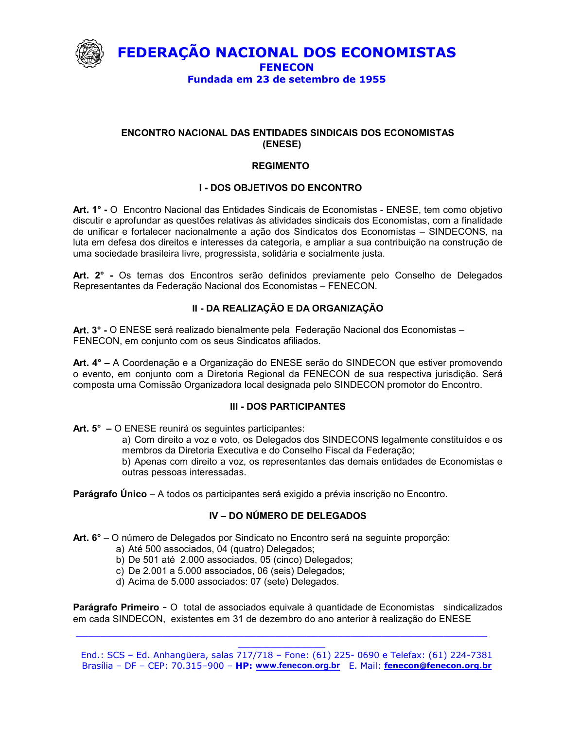

# **ENCONTRO NACIONAL DAS ENTIDADES SINDICAIS DOS ECONOMISTAS** (ENESE)

## **REGIMENTO**

# **I - DOS OBJETIVOS DO ENCONTRO**

Art. 1° - O Encontro Nacional das Entidades Sindicais de Economistas - ENESE, tem como objetivo discutir e aprofundar as questões relativas às atividades sindicais dos Economistas, com a finalidade de unificar e fortalecer nacionalmente a ação dos Sindicatos dos Economistas - SINDECONS, na luta em defesa dos direitos e interesses da categoria, e ampliar a sua contribuição na construção de uma sociedade brasileira livre, progressista, solidária e socialmente justa.

Art. 2° - Os temas dos Encontros serão definidos previamente pelo Conselho de Delegados Representantes da Federação Nacional dos Economistas - FENECON.

# II - DA REALIZAÇÃO E DA ORGANIZAÇÃO

Art. 3° - O ENESE será realizado bienalmente pela Federação Nacional dos Economistas -FENECON, em conjunto com os seus Sindicatos afiliados.

Art. 4° – A Coordenação e a Organização do ENESE serão do SINDECON que estiver promovendo o evento, em conjunto com a Diretoria Regional da FENECON de sua respectiva jurisdição. Será composta uma Comissão Organizadora local designada pelo SINDECON promotor do Encontro.

# **III - DOS PARTICIPANTES**

Art. 5° – O ENESE reunirá os seguintes participantes:

a) Com direito a voz e voto, os Delegados dos SINDECONS legalmente constituídos e os membros da Diretoria Executiva e do Conselho Fiscal da Federação;

b) Apenas com direito a voz, os representantes das demais entidades de Economistas e outras pessoas interessadas.

Parágrafo Único – A todos os participantes será exigido a prévia inscrição no Encontro.

# IV - DO NÚMERO DE DELEGADOS

Art. 6° – O número de Delegados por Sindicato no Encontro será na seguinte proporção:

a) Até 500 associados, 04 (quatro) Delegados;

- b) De 501 até 2.000 associados, 05 (cinco) Delegados;
- c) De 2.001 a 5.000 associados, 06 (seis) Delegados;
- d) Acima de 5.000 associados: 07 (sete) Delegados.

Parágrafo Primeiro - O total de associados equivale à quantidade de Economistas sindicalizados em cada SINDECON. existentes em 31 de dezembro do ano anterior à realização do ENESE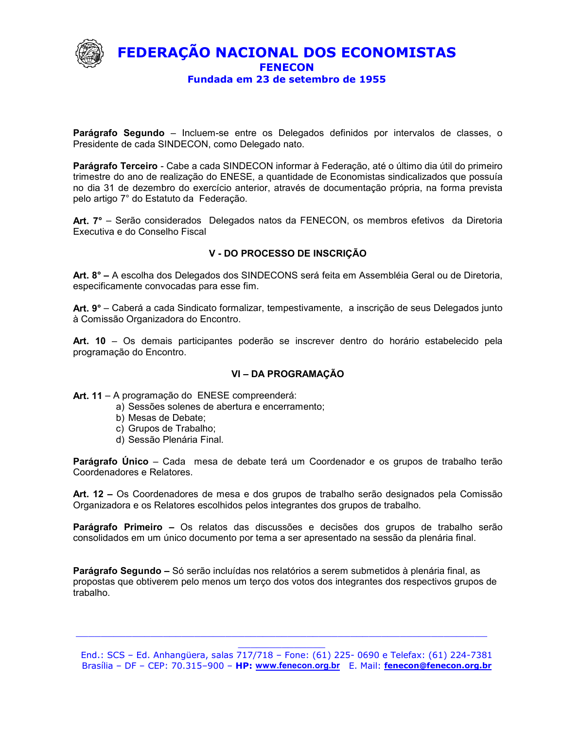

FEDERAÇÃO NACIONAL DOS ECONOMISTAS **FENECON** Fundada em 23 de setembro de 1955

**Parágrafo Segundo** – Incluem-se entre os Delegados definidos por intervalos de classes, o Presidente de cada SINDECON, como Delegado nato.

Parágrafo Terceiro - Cabe a cada SINDECON informar à Federação, até o último dia útil do primeiro trimestre do ano de realização do ENESE, a quantidade de Economistas sindicalizados que possuía no dia 31 de dezembro do exercício anterior, através de documentação própria, na forma prevista pelo artigo 7° do Estatuto da Federação.

Art. 7° – Serão considerados Delegados natos da FENECON, os membros efetivos da Diretoria Executiva e do Conselho Fiscal

# V - DO PROCESSO DE INSCRIÇÃO

Art. 8° – A escolha dos Delegados dos SINDECONS será feita em Assembléia Geral ou de Diretoria, especificamente convocadas para esse fim.

Art. 9° – Caberá a cada Sindicato formalizar, tempestivamente, a inscrição de seus Delegados junto à Comissão Organizadora do Encontro.

Art. 10 - Os demais participantes poderão se inscrever dentro do horário estabelecido pela programação do Encontro.

# VI - DA PROGRAMAÇÃO

Art. 11 - A programação do ENESE compreenderá:

- a) Sessões solenes de abertura e encerramento;
- b) Mesas de Debate:
- c) Grupos de Trabalho;
- d) Sessão Plenária Final.

Parágrafo Único – Cada mesa de debate terá um Coordenador e os grupos de trabalho terão Coordenadores e Relatores.

Art. 12 – Os Coordenadores de mesa e dos grupos de trabalho serão designados pela Comissão Organizadora e os Relatores escolhidos pelos integrantes dos grupos de trabalho.

Parágrafo Primeiro - Os relatos das discussões e decisões dos grupos de trabalho serão consolidados em um único documento por tema a ser apresentado na sessão da plenária final.

Parágrafo Segundo – Só serão incluídas nos relatórios a serem submetidos à plenária final, as propostas que obtiverem pelo menos um terço dos votos dos integrantes dos respectivos grupos de trabalho.

End.: SCS - Ed. Anhangüera, salas 717/718 - Fone: (61) 225- 0690 e Telefax: (61) 224-7381 Brasília - DF - CEP: 70.315-900 - HP: www.fenecon.org.br E. Mail: fenecon@fenecon.org.br